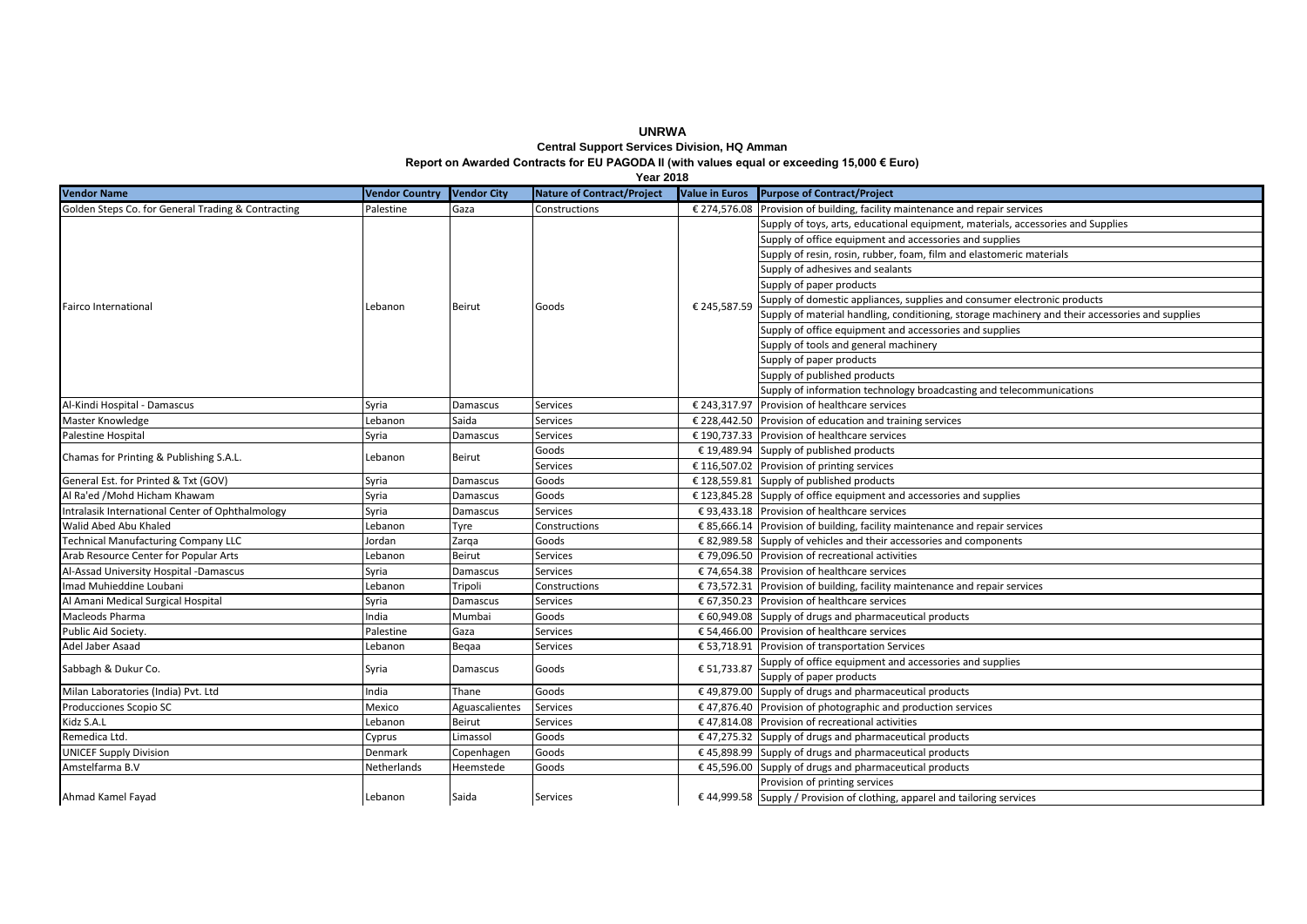**Central Support Services Division, HQ Amman Report on Awarded Contracts for EU PAGODA II (with values equal or exceeding 15,000 € Euro)**

|                                                    |                       |                    | <b>Year 2018</b>                  |                       |                                                                                                 |
|----------------------------------------------------|-----------------------|--------------------|-----------------------------------|-----------------------|-------------------------------------------------------------------------------------------------|
| <b>Vendor Name</b>                                 | <b>Vendor Country</b> | <b>Vendor City</b> | <b>Nature of Contract/Project</b> | <b>Value in Euros</b> | Purpose of Contract/Project                                                                     |
| Golden Steps Co. for General Trading & Contracting | Palestine             | Gaza               | Constructions                     |                       | $\epsilon$ 274,576.08 Provision of building, facility maintenance and repair services           |
| <b>Fairco International</b>                        |                       | Beirut             | Goods                             | € 245,587.59          | Supply of toys, arts, educational equipment, materials, accessories and Supplies                |
|                                                    |                       |                    |                                   |                       | Supply of office equipment and accessories and supplies                                         |
|                                                    |                       |                    |                                   |                       | Supply of resin, rosin, rubber, foam, film and elastomeric materials                            |
|                                                    |                       |                    |                                   |                       | Supply of adhesives and sealants                                                                |
|                                                    | Lebanon               |                    |                                   |                       | Supply of paper products                                                                        |
|                                                    |                       |                    |                                   |                       | Supply of domestic appliances, supplies and consumer electronic products                        |
|                                                    |                       |                    |                                   |                       | Supply of material handling, conditioning, storage machinery and their accessories and supplies |
|                                                    |                       |                    |                                   |                       | Supply of office equipment and accessories and supplies                                         |
|                                                    |                       |                    |                                   |                       | Supply of tools and general machinery                                                           |
|                                                    |                       |                    |                                   |                       | Supply of paper products                                                                        |
|                                                    |                       |                    |                                   |                       | Supply of published products                                                                    |
|                                                    |                       |                    |                                   |                       | Supply of information technology broadcasting and telecommunications                            |
| Al-Kindi Hospital - Damascus                       | Syria                 | Damascus           | Services                          |                       | € 243,317.97 Provision of healthcare services                                                   |
| Master Knowledge                                   | Lebanon               | Saida              | <b>Services</b>                   |                       | € 228,442.50 Provision of education and training services                                       |
| Palestine Hospital                                 | Syria                 | Damascus           | Services                          |                       | € 190,737.33 Provision of healthcare services                                                   |
| Chamas for Printing & Publishing S.A.L.            | ebanon.               | Beirut             | Goods                             |                       | € 19,489.94 Supply of published products                                                        |
|                                                    |                       |                    | <b>Services</b>                   |                       | € 116,507.02 Provision of printing services                                                     |
| General Est. for Printed & Txt (GOV)               | Syria                 | Damascus           | Goods                             |                       | € 128,559.81 Supply of published products                                                       |
| Al Ra'ed / Mohd Hicham Khawam                      | Syria                 | Damascus           | Goods                             |                       | $£$ 123,845.28 Supply of office equipment and accessories and supplies                          |
| Intralasik International Center of Ophthalmology   | Syria                 | Damascus           | Services                          |                       | € 93,433.18 Provision of healthcare services                                                    |
| Walid Abed Abu Khaled                              | Lebanon               | Tyre               | Constructions                     |                       | € 85,666.14 Provision of building, facility maintenance and repair services                     |
| <b>Technical Manufacturing Company LLC</b>         | Jordan                | Zarqa              | Goods                             |                       | € 82,989.58 Supply of vehicles and their accessories and components                             |
| Arab Resource Center for Popular Arts              | Lebanon               | Beirut             | Services                          |                       | € 79,096.50 Provision of recreational activities                                                |
| Al-Assad University Hospital -Damascus             | Syria                 | Damascus           | <b>Services</b>                   |                       | € 74,654.38 Provision of healthcare services                                                    |
| Imad Muhieddine Loubani                            | Lebanon               | Tripoli            | Constructions                     |                       | $\epsilon$ 73,572.31 Provision of building, facility maintenance and repair services            |
| Al Amani Medical Surgical Hospital                 | Syria                 | Damascus           | <b>Services</b>                   |                       | € 67,350.23 Provision of healthcare services                                                    |
| Macleods Pharma                                    | India                 | Mumbai             | Goods                             |                       | $\epsilon$ 60,949.08 Supply of drugs and pharmaceutical products                                |
| Public Aid Society.                                | Palestine             | Gaza               | <b>Services</b>                   |                       | $\epsilon$ 54.466.00 Provision of healthcare services                                           |
| Adel Jaber Asaad                                   | ebanon.               | Begaa              | <b>Services</b>                   |                       | € 53,718.91 Provision of transportation Services                                                |
| Sabbagh & Dukur Co.                                | Syria                 | Damascus           | Goods                             | € 51,733.87           | Supply of office equipment and accessories and supplies                                         |
|                                                    |                       |                    |                                   |                       | Supply of paper products                                                                        |
| Milan Laboratories (India) Pvt. Ltd                | India                 | Thane              | Goods                             |                       | € 49,879.00 Supply of drugs and pharmaceutical products                                         |
| Producciones Scopio SC                             | Mexico                | Aguascalientes     | Services                          |                       | € 47,876.40 Provision of photographic and production services                                   |
| Kidz S.A.L                                         | Lebanon               | Beirut             | <b>Services</b>                   |                       | $£$ 47,814.08 Provision of recreational activities                                              |
| Remedica Ltd.                                      | Cyprus                | Limassol           | Goods                             |                       | € 47,275.32 Supply of drugs and pharmaceutical products                                         |
| <b>UNICEF Supply Division</b>                      | Denmark               | Copenhagen         | Goods                             |                       | $\epsilon$ 45,898.99 Supply of drugs and pharmaceutical products                                |
| Amstelfarma B.V                                    | Netherlands           | Heemstede          | Goods                             |                       | $\epsilon$ 45,596.00 Supply of drugs and pharmaceutical products                                |
|                                                    | Lebanon               | Saida              |                                   |                       | Provision of printing services                                                                  |
| Ahmad Kamel Fayad                                  |                       |                    | Services                          |                       | € 44,999.58 Supply / Provision of clothing, apparel and tailoring services                      |

**UNRWA**